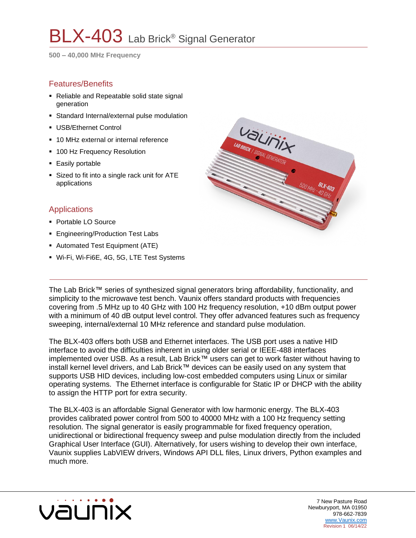# BLX-403 Lab Brick® Signal Generator

**500 – 40,000 MHz Frequency** 

#### Features/Benefits

- Reliable and Repeatable solid state signal generation
- **EXTERNATE:** Standard Internal/external pulse modulation
- USB/Ethernet Control
- 10 MHz external or internal reference
- 100 Hz Frequency Resolution
- **Easily portable**
- Sized to fit into a single rack unit for ATE applications

#### **Applications**

- Portable LO Source
- **Engineering/Production Test Labs**
- Automated Test Equipment (ATE)
- Wi-Fi, Wi-Fi6E, 4G, 5G, LTE Test Systems



The Lab Brick™ series of synthesized signal generators bring affordability, functionality, and simplicity to the microwave test bench. Vaunix offers standard products with frequencies covering from .5 MHz up to 40 GHz with 100 Hz frequency resolution, +10 dBm output power with a minimum of 40 dB output level control. They offer advanced features such as frequency sweeping, internal/external 10 MHz reference and standard pulse modulation.

The BLX-403 offers both USB and Ethernet interfaces. The USB port uses a native HID interface to avoid the difficulties inherent in using older serial or IEEE-488 interfaces implemented over USB. As a result, Lab Brick™ users can get to work faster without having to install kernel level drivers, and Lab Brick™ devices can be easily used on any system that supports USB HID devices, including low-cost embedded computers using Linux or similar operating systems. The Ethernet interface is configurable for Static IP or DHCP with the ability to assign the HTTP port for extra security.

The BLX-403 is an affordable Signal Generator with low harmonic energy. The BLX-403 provides calibrated power control from 500 to 40000 MHz with a 100 Hz frequency setting resolution. The signal generator is easily programmable for fixed frequency operation, unidirectional or bidirectional frequency sweep and pulse modulation directly from the included Graphical User Interface (GUI). Alternatively, for users wishing to develop their own interface, Vaunix supplies LabVIEW drivers, Windows API DLL files, Linux drivers, Python examples and much more.



7 New Pasture Road Newburyport, MA 01950 978-662-7839 [www.Vaunix.com](https://vaunix.com/) Revision 1 06/14/22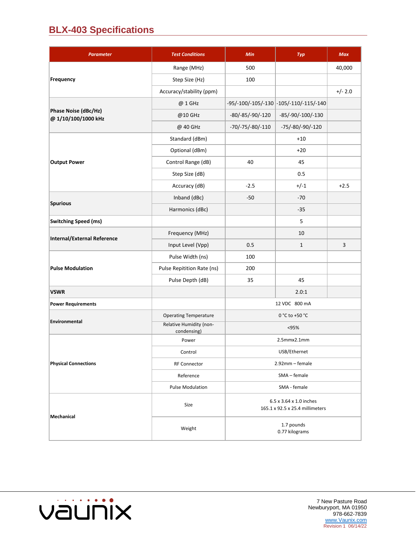## **BLX-403 Specifications**

| <b>Parameter</b>                            | <b>Test Conditions</b>                 | Min                                                        | Typ                                    | <b>Max</b> |
|---------------------------------------------|----------------------------------------|------------------------------------------------------------|----------------------------------------|------------|
| Frequency                                   | Range (MHz)                            | 500                                                        |                                        | 40,000     |
|                                             | Step Size (Hz)                         | 100                                                        |                                        |            |
|                                             | Accuracy/stability (ppm)               |                                                            |                                        | $+/- 2.0$  |
| Phase Noise (dBc/Hz)<br>@ 1/10/100/1000 kHz | @ 1 GHz                                |                                                            | -95/-100/-105/-130 -105/-110/-115/-140 |            |
|                                             | @10 GHz                                | $-80/-85/-90/-120$                                         | -85/-90/-100/-130                      |            |
|                                             | @ 40 GHz                               | $-70/-75/-80/-110$                                         | -75/-80/-90/-120                       |            |
| <b>Output Power</b>                         | Standard (dBm)                         |                                                            | $+10$                                  |            |
|                                             | Optional (dBm)                         |                                                            | $+20$                                  |            |
|                                             | Control Range (dB)                     | 40                                                         | 45                                     |            |
|                                             | Step Size (dB)                         |                                                            | 0.5                                    |            |
|                                             | Accuracy (dB)                          | $-2.5$                                                     | $+/-1$                                 | $+2.5$     |
| <b>Spurious</b>                             | Inband (dBc)                           | $-50$                                                      | $-70$                                  |            |
|                                             | Harmonics (dBc)                        |                                                            | $-35$                                  |            |
| <b>Switching Speed (ms)</b>                 |                                        |                                                            | 5                                      |            |
| <b>Internal/External Reference</b>          | Frequency (MHz)                        |                                                            | 10                                     |            |
|                                             | Input Level (Vpp)                      | 0.5                                                        | $\mathbf{1}$                           | 3          |
| <b>Pulse Modulation</b>                     | Pulse Width (ns)                       | 100                                                        |                                        |            |
|                                             | Pulse Repitition Rate (ns)             | 200                                                        |                                        |            |
|                                             | Pulse Depth (dB)                       | 35                                                         | 45                                     |            |
| <b>VSWR</b>                                 |                                        |                                                            | 2.0:1                                  |            |
| <b>Power Requirements</b>                   |                                        | 12 VDC 800 mA                                              |                                        |            |
| Environmental                               | <b>Operating Temperature</b>           | 0 °C to +50 °C                                             |                                        |            |
|                                             | Relative Humidity (non-<br>condensing) | < 95%                                                      |                                        |            |
| <b>Physical Connections</b>                 | Power                                  | 2.5mmx2.1mm                                                |                                        |            |
|                                             | Control                                | USB/Ethernet                                               |                                        |            |
|                                             | <b>RF Connector</b>                    | 2.92mm - female                                            |                                        |            |
|                                             | Reference                              | SMA - female                                               |                                        |            |
|                                             | <b>Pulse Modulation</b>                | SMA - female                                               |                                        |            |
| <b>Mechanical</b>                           | Size                                   | 6.5 x 3.64 x 1.0 inches<br>165.1 x 92.5 x 25.4 millimeters |                                        |            |
|                                             | Weight                                 | 1.7 pounds<br>0.77 kilograms                               |                                        |            |

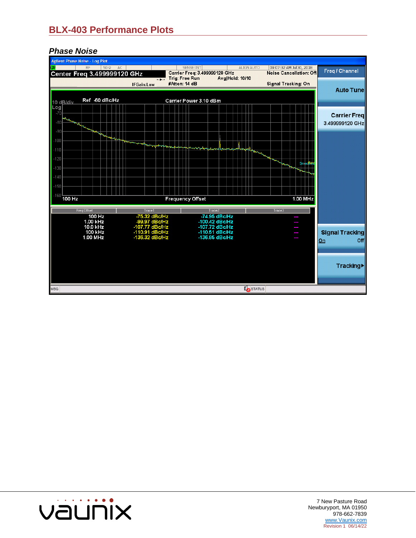### **BLX-403 Performance Plots**